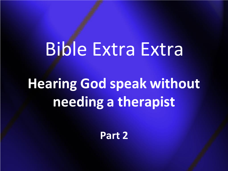# Bible Extra Extra

**Hearing God speak without needing a therapist**

**Part 2**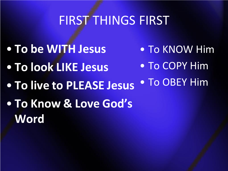## FIRST THINGS FIRST

- **To be WITH Jesus**
- **To look LIKE Jesus**
- To KNOW Him
- To COPY Him
- **To live to PLEASE Jesus** • To OBEY Him
- **To Know & Love God's Word**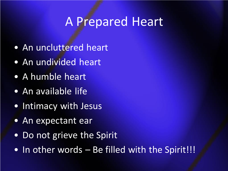#### A Prepared Heart

- An uncluttered heart
- An undivided heart
- A humble heart
- An available life
- Intimacy with Jesus
- An expectant ear
- Do not grieve the Spirit
- In other words Be filled with the Spirit!!!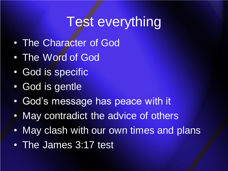# Test everything

- The Character of God
- The Word of God
- God is specific
- God is gentle
- God's message has peace with it
- May contradict the advice of others
- May clash with our own times and plans
- The James 3:17 test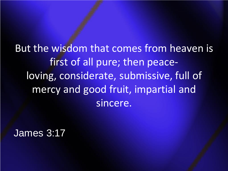But the wisdom that comes from heaven is first of all pure; then peaceloving, considerate, submissive, full of mercy and good fruit, impartial and sincere.

James 3:17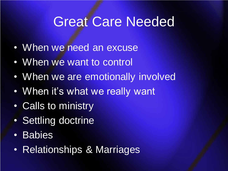# Great Care Needed

- When we need an excuse
- When we want to control
- When we are emotionally involved
- When it's what we really want
- Calls to ministry
- Settling doctrine
- Babies
- Relationships & Marriages